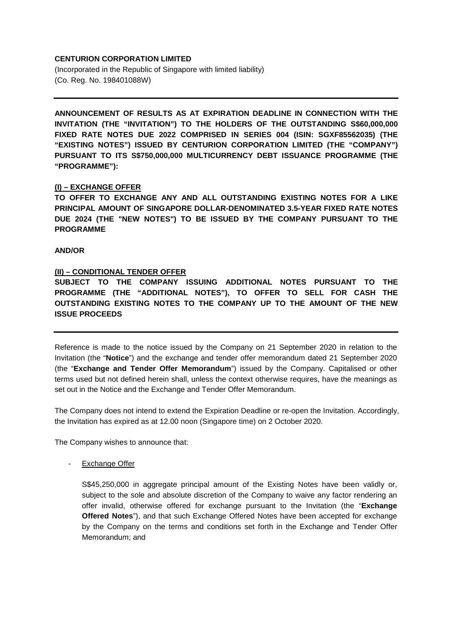## **CENTURION CORPORATION LIMITED**

(Incorporated in the Republic of Singapore with limited liability) (Co. Reg. No. 198401088W)

**ANNOUNCEMENT OF RESULTS AS AT EXPIRATION DEADLINE IN CONNECTION WITH THE INVITATION (THE "INVITATION") TO THE HOLDERS OF THE OUTSTANDING S\$60,000,000 FIXED RATE NOTES DUE 2022 COMPRISED IN SERIES 004 (ISIN: SGXF85562035) (THE "EXISTING NOTES") ISSUED BY CENTURION CORPORATION LIMITED (THE "COMPANY") PURSUANT TO ITS S\$750,000,000 MULTICURRENCY DEBT ISSUANCE PROGRAMME (THE "PROGRAMME"):**

## **(I) – EXCHANGE OFFER**

**TO OFFER TO EXCHANGE ANY AND ALL OUTSTANDING EXISTING NOTES FOR A LIKE PRINCIPAL AMOUNT OF SINGAPORE DOLLAR-DENOMINATED 3.5-YEAR FIXED RATE NOTES DUE 2024 (THE "NEW NOTES") TO BE ISSUED BY THE COMPANY PURSUANT TO THE PROGRAMME**

**AND/OR**

## **(II) – CONDITIONAL TENDER OFFER**

**SUBJECT TO THE COMPANY ISSUING ADDITIONAL NOTES PURSUANT TO THE PROGRAMME (THE "ADDITIONAL NOTES"), TO OFFER TO SELL FOR CASH THE OUTSTANDING EXISTING NOTES TO THE COMPANY UP TO THE AMOUNT OF THE NEW ISSUE PROCEEDS**

Reference is made to the notice issued by the Company on 21 September 2020 in relation to the Invitation (the "**Notice**") and the exchange and tender offer memorandum dated 21 September 2020 (the "**Exchange and Tender Offer Memorandum**") issued by the Company. Capitalised or other terms used but not defined herein shall, unless the context otherwise requires, have the meanings as set out in the Notice and the Exchange and Tender Offer Memorandum.

The Company does not intend to extend the Expiration Deadline or re-open the Invitation. Accordingly, the Invitation has expired as at 12.00 noon (Singapore time) on 2 October 2020.

The Company wishes to announce that:

- Exchange Offer

S\$45,250,000 in aggregate principal amount of the Existing Notes have been validly or, subject to the sole and absolute discretion of the Company to waive any factor rendering an offer invalid, otherwise offered for exchange pursuant to the Invitation (the "**Exchange Offered Notes**"), and that such Exchange Offered Notes have been accepted for exchange by the Company on the terms and conditions set forth in the Exchange and Tender Offer Memorandum; and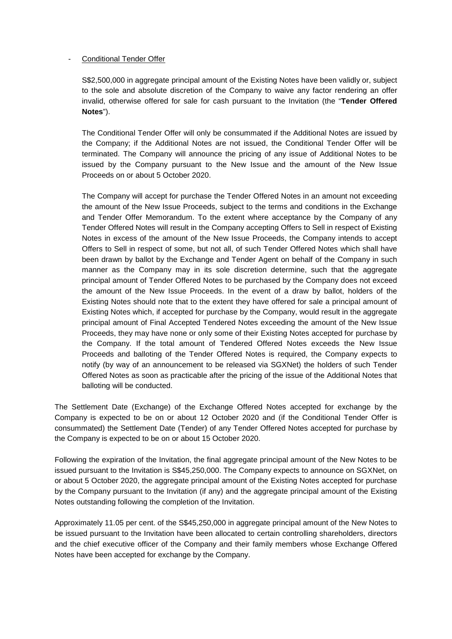## Conditional Tender Offer

S\$2,500,000 in aggregate principal amount of the Existing Notes have been validly or, subject to the sole and absolute discretion of the Company to waive any factor rendering an offer invalid, otherwise offered for sale for cash pursuant to the Invitation (the "**Tender Offered Notes**").

The Conditional Tender Offer will only be consummated if the Additional Notes are issued by the Company; if the Additional Notes are not issued, the Conditional Tender Offer will be terminated. The Company will announce the pricing of any issue of Additional Notes to be issued by the Company pursuant to the New Issue and the amount of the New Issue Proceeds on or about 5 October 2020.

The Company will accept for purchase the Tender Offered Notes in an amount not exceeding the amount of the New Issue Proceeds, subject to the terms and conditions in the Exchange and Tender Offer Memorandum. To the extent where acceptance by the Company of any Tender Offered Notes will result in the Company accepting Offers to Sell in respect of Existing Notes in excess of the amount of the New Issue Proceeds, the Company intends to accept Offers to Sell in respect of some, but not all, of such Tender Offered Notes which shall have been drawn by ballot by the Exchange and Tender Agent on behalf of the Company in such manner as the Company may in its sole discretion determine, such that the aggregate principal amount of Tender Offered Notes to be purchased by the Company does not exceed the amount of the New Issue Proceeds. In the event of a draw by ballot, holders of the Existing Notes should note that to the extent they have offered for sale a principal amount of Existing Notes which, if accepted for purchase by the Company, would result in the aggregate principal amount of Final Accepted Tendered Notes exceeding the amount of the New Issue Proceeds, they may have none or only some of their Existing Notes accepted for purchase by the Company. If the total amount of Tendered Offered Notes exceeds the New Issue Proceeds and balloting of the Tender Offered Notes is required, the Company expects to notify (by way of an announcement to be released via SGXNet) the holders of such Tender Offered Notes as soon as practicable after the pricing of the issue of the Additional Notes that balloting will be conducted.

The Settlement Date (Exchange) of the Exchange Offered Notes accepted for exchange by the Company is expected to be on or about 12 October 2020 and (if the Conditional Tender Offer is consummated) the Settlement Date (Tender) of any Tender Offered Notes accepted for purchase by the Company is expected to be on or about 15 October 2020.

Following the expiration of the Invitation, the final aggregate principal amount of the New Notes to be issued pursuant to the Invitation is S\$45,250,000. The Company expects to announce on SGXNet, on or about 5 October 2020, the aggregate principal amount of the Existing Notes accepted for purchase by the Company pursuant to the Invitation (if any) and the aggregate principal amount of the Existing Notes outstanding following the completion of the Invitation.

Approximately 11.05 per cent. of the S\$45,250,000 in aggregate principal amount of the New Notes to be issued pursuant to the Invitation have been allocated to certain controlling shareholders, directors and the chief executive officer of the Company and their family members whose Exchange Offered Notes have been accepted for exchange by the Company.